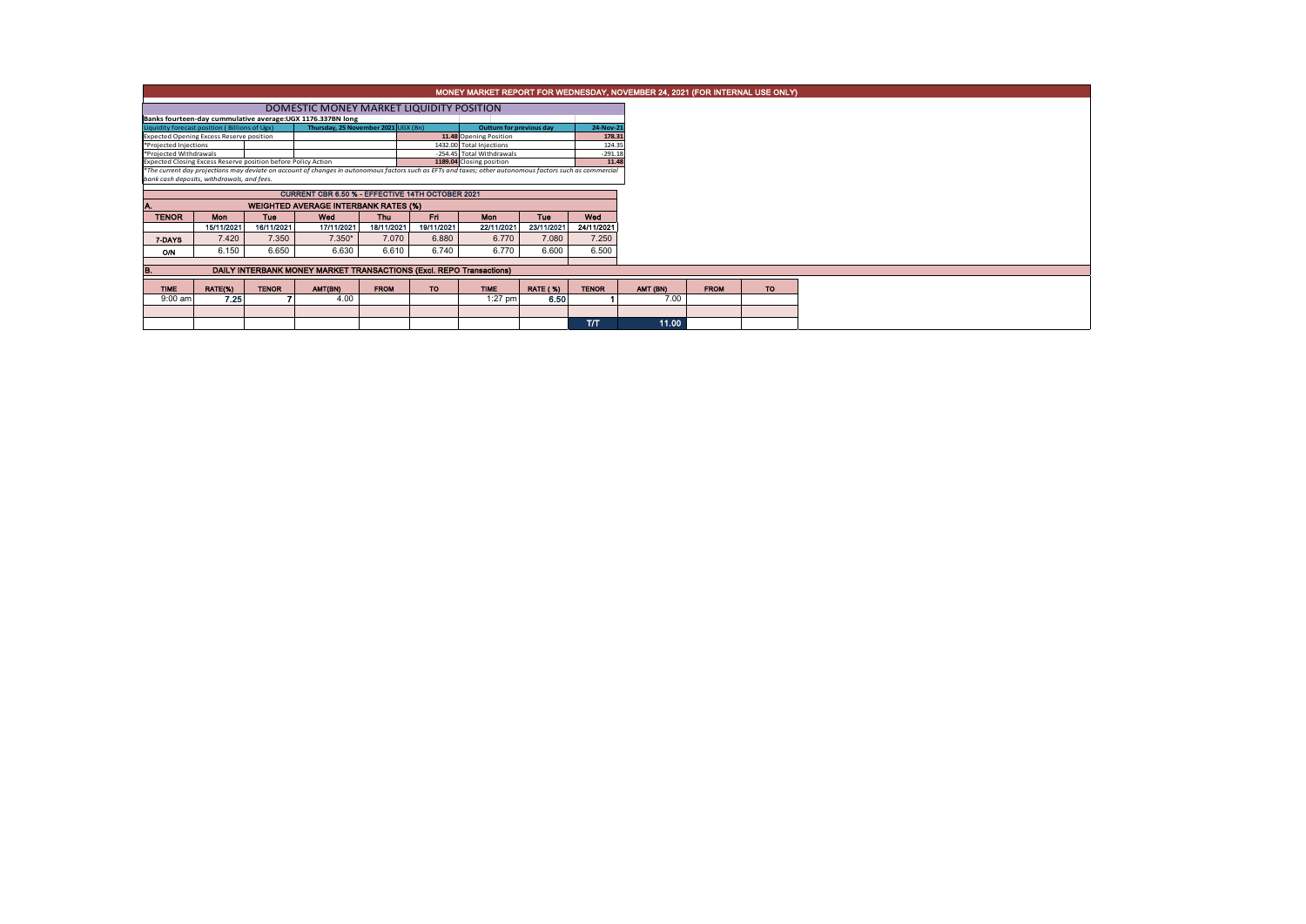|                                                                                      | MONEY MARKET REPORT FOR WEDNESDAY, NOVEMBER 24, 2021 (FOR INTERNAL USE ONLY)            |              |                                                                                                                                                          |             |                          |                                                       |                 |                    |  |          |             |
|--------------------------------------------------------------------------------------|-----------------------------------------------------------------------------------------|--------------|----------------------------------------------------------------------------------------------------------------------------------------------------------|-------------|--------------------------|-------------------------------------------------------|-----------------|--------------------|--|----------|-------------|
|                                                                                      |                                                                                         |              |                                                                                                                                                          |             |                          |                                                       |                 |                    |  |          |             |
| Banks fourteen-day cummulative average: UGX 1176.337BN long                          |                                                                                         |              |                                                                                                                                                          |             |                          |                                                       |                 |                    |  |          |             |
| Thursday, 25 November 2021 UGX (Bn)<br>Liquidity forecast position (Billions of Ugx) |                                                                                         |              |                                                                                                                                                          |             |                          | Outturn for previous day                              |                 | 24-Nov-21          |  |          |             |
| Expected Opening Excess Reserve position                                             |                                                                                         |              |                                                                                                                                                          |             |                          | 11.48 Opening Position                                |                 | 178.31             |  |          |             |
| *Projected Injections                                                                |                                                                                         |              |                                                                                                                                                          |             | 1432.00 Total Injections |                                                       | 124.35          |                    |  |          |             |
|                                                                                      | *Projected Withdrawals<br>Expected Closing Excess Reserve position before Policy Action |              |                                                                                                                                                          |             |                          | -254.45 Total Withdrawals<br>1189.04 Closing position |                 | $-291.18$<br>11.48 |  |          |             |
|                                                                                      |                                                                                         |              | *The current day projections may deviate on account of changes in autonomous factors such as EFTs and taxes; other autonomous factors such as commercial |             |                          |                                                       |                 |                    |  |          |             |
| bank cash deposits, withdrawals, and fees.                                           |                                                                                         |              |                                                                                                                                                          |             |                          |                                                       |                 |                    |  |          |             |
|                                                                                      |                                                                                         |              | <b>CURRENT CBR 6.50 % - EFFECTIVE 14TH OCTOBER 2021</b>                                                                                                  |             |                          |                                                       |                 |                    |  |          |             |
|                                                                                      |                                                                                         |              |                                                                                                                                                          |             |                          |                                                       |                 |                    |  |          |             |
|                                                                                      |                                                                                         |              |                                                                                                                                                          |             |                          |                                                       |                 |                    |  |          |             |
| <b>TENOR</b>                                                                         | Mon                                                                                     | <b>Tue</b>   | Wed                                                                                                                                                      | <b>Thu</b>  | Fri.                     | <b>Mon</b>                                            | Tue             | Wed                |  |          |             |
|                                                                                      | 15/11/2021                                                                              | 16/11/2021   | 17/11/2021                                                                                                                                               | 18/11/2021  | 19/11/2021               | 22/11/2021                                            | 23/11/2021      | 24/11/2021         |  |          |             |
| 7-DAYS                                                                               | 7.420                                                                                   | 7.350        | $7.350*$                                                                                                                                                 | 7.070       | 6.880                    | 6.770                                                 | 7.080           | 7.250              |  |          |             |
|                                                                                      | 6.150                                                                                   | 6.650        | 6.630                                                                                                                                                    | 6.610       | 6.740                    | 6.770                                                 | 6.600           | 6.500              |  |          |             |
| ON                                                                                   |                                                                                         |              |                                                                                                                                                          |             |                          |                                                       |                 |                    |  |          |             |
|                                                                                      |                                                                                         |              | DAILY INTERBANK MONEY MARKET TRANSACTIONS (Excl. REPO Transactions)                                                                                      |             |                          |                                                       |                 |                    |  |          |             |
|                                                                                      |                                                                                         |              |                                                                                                                                                          |             |                          |                                                       |                 |                    |  |          |             |
| <b>TIME</b>                                                                          | <b>RATE(%)</b>                                                                          | <b>TENOR</b> | AMT(BN)                                                                                                                                                  | <b>FROM</b> | <b>TO</b>                | <b>TIME</b>                                           | <b>RATE (%)</b> | <b>TENOR</b>       |  | AMT (BN) | <b>FROM</b> |
| $9:00$ am                                                                            | 7.25                                                                                    |              | 4.00                                                                                                                                                     |             |                          | $1:27$ pm                                             | 6.50            |                    |  | 7.00     |             |
|                                                                                      |                                                                                         |              |                                                                                                                                                          |             |                          |                                                       |                 |                    |  |          |             |
|                                                                                      |                                                                                         |              |                                                                                                                                                          |             |                          |                                                       |                 | TЛ                 |  | 11.00    |             |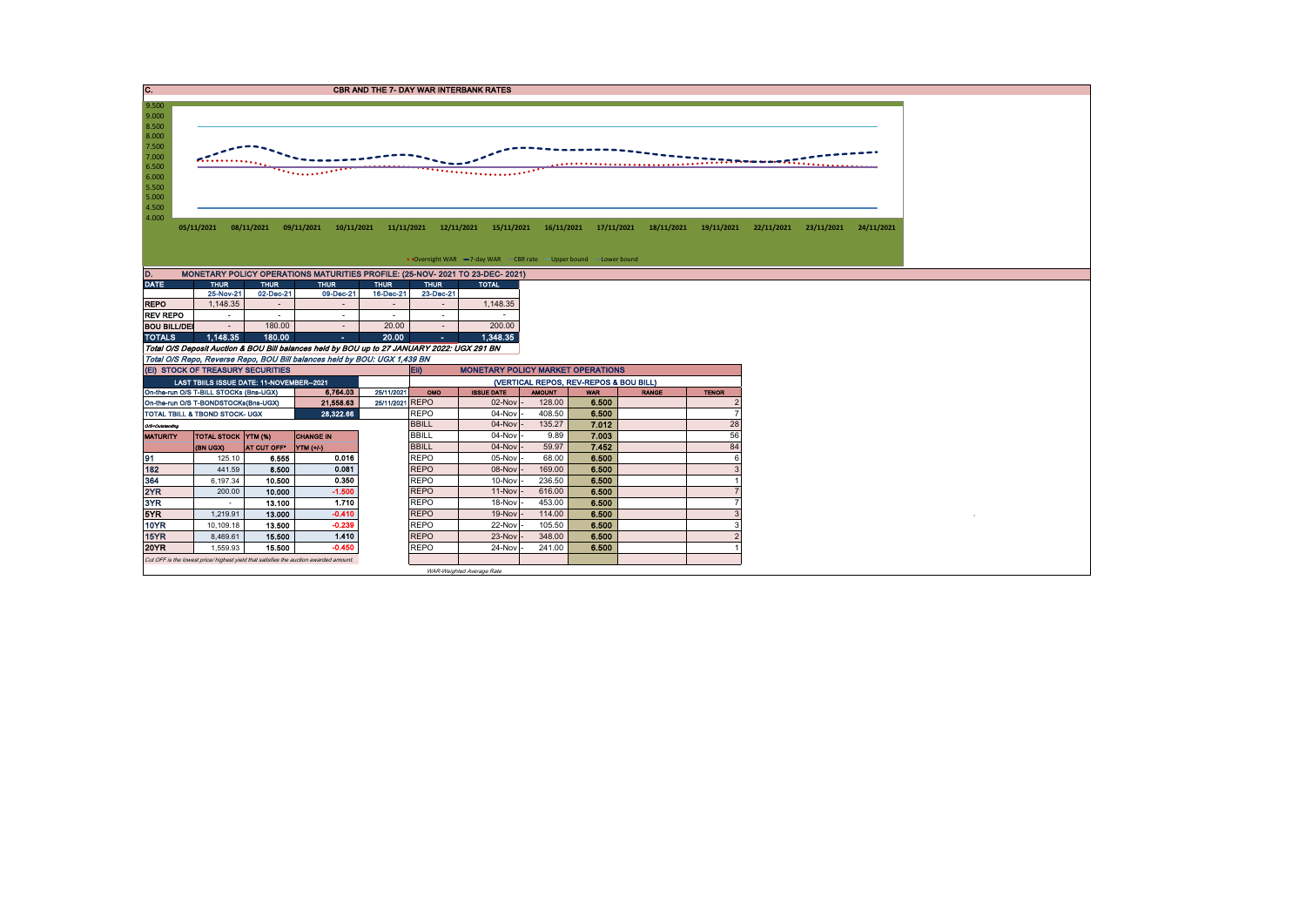| 9.500                                      |                                                                        |                       |                                                                                             |                 |                          | <b>CBR AND THE 7- DAY WAR INTERBANK RATES</b>                     |                  |                                        |                                                |              |            |                       |  |
|--------------------------------------------|------------------------------------------------------------------------|-----------------------|---------------------------------------------------------------------------------------------|-----------------|--------------------------|-------------------------------------------------------------------|------------------|----------------------------------------|------------------------------------------------|--------------|------------|-----------------------|--|
|                                            |                                                                        |                       |                                                                                             |                 |                          |                                                                   |                  |                                        |                                                |              |            |                       |  |
| 9.000                                      |                                                                        |                       |                                                                                             |                 |                          |                                                                   |                  |                                        |                                                |              |            |                       |  |
| 8.500<br>8.000                             |                                                                        |                       |                                                                                             |                 |                          |                                                                   |                  |                                        |                                                |              |            |                       |  |
| 7.500                                      |                                                                        |                       |                                                                                             |                 |                          |                                                                   |                  |                                        |                                                |              |            |                       |  |
| 7.000                                      |                                                                        |                       |                                                                                             |                 |                          |                                                                   |                  |                                        |                                                |              |            |                       |  |
| 6.500                                      |                                                                        |                       |                                                                                             |                 |                          |                                                                   |                  | .                                      |                                                |              |            |                       |  |
| 6.000                                      |                                                                        |                       |                                                                                             |                 |                          | .                                                                 |                  |                                        |                                                |              |            |                       |  |
| 5.500                                      |                                                                        |                       |                                                                                             |                 |                          |                                                                   |                  |                                        |                                                |              |            |                       |  |
| 5.000                                      |                                                                        |                       |                                                                                             |                 |                          |                                                                   |                  |                                        |                                                |              |            |                       |  |
| 4.500<br>4.000                             |                                                                        |                       |                                                                                             |                 |                          |                                                                   |                  |                                        |                                                |              |            |                       |  |
|                                            | 05/11/2021                                                             |                       | 08/11/2021  09/11/2021  10/11/2021  11/11/2021                                              |                 |                          | 12/11/2021                                                        |                  |                                        | 15/11/2021  16/11/2021  17/11/2021  18/11/2021 | 19/11/2021   | 22/11/2021 | 23/11/2021 24/11/2021 |  |
|                                            |                                                                        |                       |                                                                                             |                 |                          |                                                                   |                  |                                        |                                                |              |            |                       |  |
|                                            |                                                                        |                       |                                                                                             |                 |                          |                                                                   |                  |                                        |                                                |              |            |                       |  |
|                                            |                                                                        |                       |                                                                                             |                 |                          | • Overnight WAR -7-day WAR - CBR rate - Upper bound - Lower bound |                  |                                        |                                                |              |            |                       |  |
| D.                                         |                                                                        |                       | MONETARY POLICY OPERATIONS MATURITIES PROFILE: (25-NOV- 2021 TO 23-DEC- 2021)               |                 |                          |                                                                   |                  |                                        |                                                |              |            |                       |  |
| <b>DATE</b>                                | <b>THUR</b>                                                            | <b>THUR</b>           | <b>THUR</b>                                                                                 | <b>THUR</b>     | <b>THUR</b>              | <b>TOTAL</b>                                                      |                  |                                        |                                                |              |            |                       |  |
|                                            | 25-Nov-21                                                              | 02-Dec-21             | 09-Dec-21                                                                                   | 16-Dec-21       | 23-Dec-21                |                                                                   |                  |                                        |                                                |              |            |                       |  |
| <b>REPO</b>                                | 1,148.35                                                               | ÷                     |                                                                                             |                 | $\sim$                   | 1,148.35                                                          |                  |                                        |                                                |              |            |                       |  |
| <b>REV REPO</b>                            | $\sim$                                                                 | $\sim$                | $\sim$                                                                                      |                 | $\overline{\phantom{a}}$ | $\sim$                                                            |                  |                                        |                                                |              |            |                       |  |
| <b>BOU BILL/DEI</b>                        |                                                                        | 180.00                | $\sim$                                                                                      | 20.00           | $\sim$                   | 200.00                                                            |                  |                                        |                                                |              |            |                       |  |
| <b>TOTALS</b>                              | 1.148.35                                                               | 180.00                | $\Delta \sim 10^{-11}$                                                                      | 20.00           | <b>COL</b>               | 1.348.35                                                          |                  |                                        |                                                |              |            |                       |  |
|                                            |                                                                        |                       | Total O/S Deposit Auction & BOU Bill balances held by BOU up to 27 JANUARY 2022: UGX 291 BN |                 |                          |                                                                   |                  |                                        |                                                |              |            |                       |  |
|                                            |                                                                        |                       | Total O/S Repo, Reverse Repo, BOU Bill balances held by BOU: UGX 1,439 BN                   |                 |                          |                                                                   |                  |                                        |                                                |              |            |                       |  |
|                                            |                                                                        |                       |                                                                                             |                 |                          |                                                                   |                  |                                        |                                                |              |            |                       |  |
|                                            | (EI) STOCK OF TREASURY SECURITIES                                      |                       |                                                                                             |                 | EII)                     | <b>MONETARY POLICY MARKET OPERATIONS</b>                          |                  |                                        |                                                |              |            |                       |  |
|                                            | LAST TBIILS ISSUE DATE: 11-NOVEMBER--2021                              |                       |                                                                                             |                 |                          |                                                                   |                  | (VERTICAL REPOS, REV-REPOS & BOU BILL) |                                                |              |            |                       |  |
|                                            | On-the-run O/S T-BILL STOCKs (Bns-UGX)                                 |                       | 6.764.03                                                                                    | 25/11/2021      | OMO                      | <b>ISSUE DATE</b>                                                 | <b>AMOUNT</b>    | <b>WAR</b>                             | <b>RANGE</b>                                   | <b>TENOR</b> |            |                       |  |
|                                            | On-the-run O/S T-BONDSTOCKs(Bns-UGX)<br>TOTAL TBILL & TBOND STOCK- UGX |                       | 21,558.63<br>28,322.66                                                                      | 25/11/2021 REPO | <b>REPO</b>              | 02-Nov<br>04-Nov                                                  | 128.00<br>408.50 | 6.500<br>6.500                         |                                                |              |            |                       |  |
|                                            |                                                                        |                       |                                                                                             |                 | <b>BBILL</b>             | 04-Nov                                                            | 135.27           | 7.012                                  |                                                | 28           |            |                       |  |
| O/S=Outstanding                            | <b>TOTAL STOCK YTM (%)</b>                                             |                       | <b>CHANGE IN</b>                                                                            |                 | <b>BBILL</b>             | 04-Nov                                                            | 9.89             | 7.003                                  |                                                | 56           |            |                       |  |
|                                            | (BN UGX)                                                               | AT CUT OFF* YTM (+/-) |                                                                                             |                 | <b>BBILL</b>             | 04-Nov                                                            | 59.97            | 7.452                                  |                                                | 84           |            |                       |  |
|                                            | 125.10                                                                 | 6.555                 | 0.016                                                                                       |                 | <b>REPO</b>              | 05-Nov                                                            | 68.00            | 6.500                                  |                                                | 6            |            |                       |  |
|                                            | 441.59                                                                 | 8.500                 | 0.081                                                                                       |                 | <b>REPO</b>              | 08-Nov                                                            | 169.00           | 6.500                                  |                                                |              |            |                       |  |
|                                            | 6,197.34                                                               | 10.500                | 0.350                                                                                       |                 | <b>REPO</b>              | 10-Nov                                                            | 236.50           | 6.500                                  |                                                |              |            |                       |  |
|                                            | 200.00                                                                 | 10.000                | $-1.500$                                                                                    |                 | <b>REPO</b>              | 11-Nov                                                            | 616.00           | 6.500                                  |                                                |              |            |                       |  |
|                                            |                                                                        | 13.100                | 1.710                                                                                       |                 | <b>REPO</b>              | 18-Nov                                                            | 453.00           | 6.500                                  |                                                |              |            |                       |  |
| <b>MATURITY</b><br>91<br>364<br>3YR<br>5YR | 1,219.91                                                               | 13.000                | $-0.410$                                                                                    |                 | <b>REPO</b>              | 19-Nov                                                            | 114.00           | 6.500                                  |                                                | 3            |            |                       |  |
| 10YR                                       | 10,109.18                                                              | 13.500                | $-0.239$                                                                                    |                 | <b>REPO</b>              | 22-Nov                                                            | 105.50           | 6.500                                  |                                                | $\mathbf{3}$ |            |                       |  |
| 15YR                                       | 8,469.61                                                               | 15,500                | 1.410                                                                                       |                 | <b>REPO</b>              | 23-Nov                                                            | 348.00           | 6.500                                  |                                                |              |            |                       |  |
| 182<br>2YR<br><b>20YR</b>                  | 1,559.93                                                               | 15.500                | $-0.450$                                                                                    |                 | <b>REPO</b>              | 24-Nov                                                            | 241.00           | 6.500                                  |                                                |              |            |                       |  |